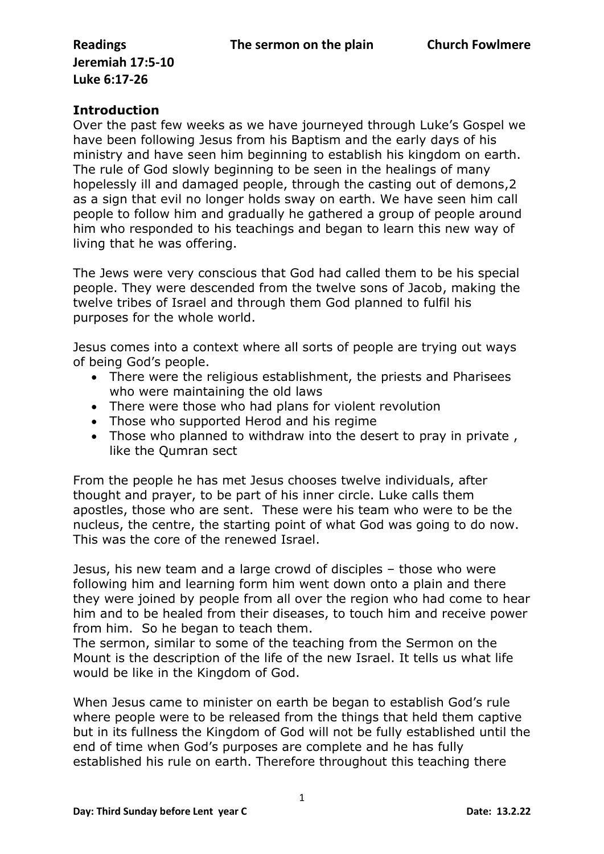**Jeremiah 17:5-10 Luke 6:17-26**

## **Introduction**

Over the past few weeks as we have journeyed through Luke's Gospel we have been following Jesus from his Baptism and the early days of his ministry and have seen him beginning to establish his kingdom on earth. The rule of God slowly beginning to be seen in the healings of many hopelessly ill and damaged people, through the casting out of demons,2 as a sign that evil no longer holds sway on earth. We have seen him call people to follow him and gradually he gathered a group of people around him who responded to his teachings and began to learn this new way of living that he was offering.

The Jews were very conscious that God had called them to be his special people. They were descended from the twelve sons of Jacob, making the twelve tribes of Israel and through them God planned to fulfil his purposes for the whole world.

Jesus comes into a context where all sorts of people are trying out ways of being God's people.

- There were the religious establishment, the priests and Pharisees who were maintaining the old laws
- There were those who had plans for violent revolution
- Those who supported Herod and his regime
- Those who planned to withdraw into the desert to pray in private , like the Qumran sect

From the people he has met Jesus chooses twelve individuals, after thought and prayer, to be part of his inner circle. Luke calls them apostles, those who are sent. These were his team who were to be the nucleus, the centre, the starting point of what God was going to do now. This was the core of the renewed Israel.

Jesus, his new team and a large crowd of disciples – those who were following him and learning form him went down onto a plain and there they were joined by people from all over the region who had come to hear him and to be healed from their diseases, to touch him and receive power from him. So he began to teach them.

The sermon, similar to some of the teaching from the Sermon on the Mount is the description of the life of the new Israel. It tells us what life would be like in the Kingdom of God.

When Jesus came to minister on earth be began to establish God's rule where people were to be released from the things that held them captive but in its fullness the Kingdom of God will not be fully established until the end of time when God's purposes are complete and he has fully established his rule on earth. Therefore throughout this teaching there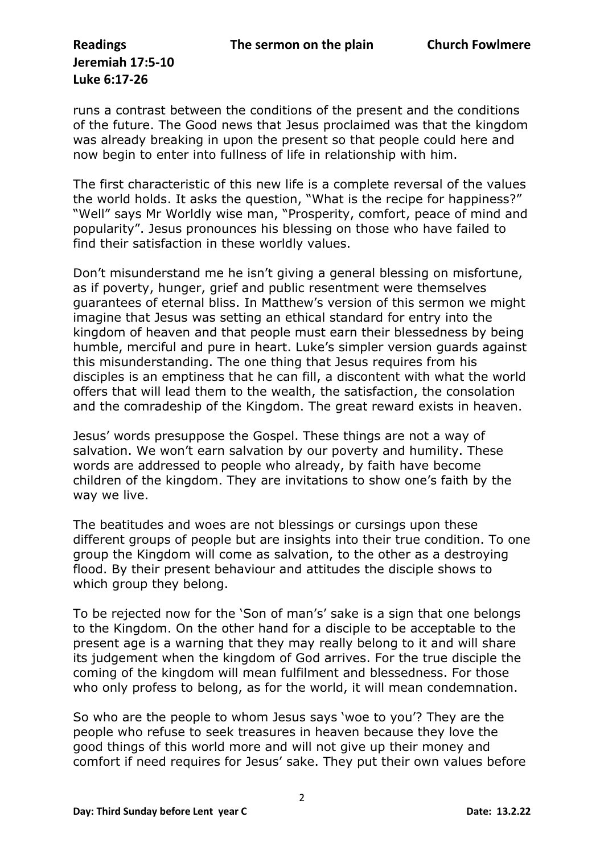## **Jeremiah 17:5-10 Luke 6:17-26**

runs a contrast between the conditions of the present and the conditions of the future. The Good news that Jesus proclaimed was that the kingdom was already breaking in upon the present so that people could here and now begin to enter into fullness of life in relationship with him.

The first characteristic of this new life is a complete reversal of the values the world holds. It asks the question, "What is the recipe for happiness?" "Well" says Mr Worldly wise man, "Prosperity, comfort, peace of mind and popularity". Jesus pronounces his blessing on those who have failed to find their satisfaction in these worldly values.

Don't misunderstand me he isn't giving a general blessing on misfortune, as if poverty, hunger, grief and public resentment were themselves guarantees of eternal bliss. In Matthew's version of this sermon we might imagine that Jesus was setting an ethical standard for entry into the kingdom of heaven and that people must earn their blessedness by being humble, merciful and pure in heart. Luke's simpler version guards against this misunderstanding. The one thing that Jesus requires from his disciples is an emptiness that he can fill, a discontent with what the world offers that will lead them to the wealth, the satisfaction, the consolation and the comradeship of the Kingdom. The great reward exists in heaven.

Jesus' words presuppose the Gospel. These things are not a way of salvation. We won't earn salvation by our poverty and humility. These words are addressed to people who already, by faith have become children of the kingdom. They are invitations to show one's faith by the way we live.

The beatitudes and woes are not blessings or cursings upon these different groups of people but are insights into their true condition. To one group the Kingdom will come as salvation, to the other as a destroying flood. By their present behaviour and attitudes the disciple shows to which group they belong.

To be rejected now for the 'Son of man's' sake is a sign that one belongs to the Kingdom. On the other hand for a disciple to be acceptable to the present age is a warning that they may really belong to it and will share its judgement when the kingdom of God arrives. For the true disciple the coming of the kingdom will mean fulfilment and blessedness. For those who only profess to belong, as for the world, it will mean condemnation.

So who are the people to whom Jesus says 'woe to you'? They are the people who refuse to seek treasures in heaven because they love the good things of this world more and will not give up their money and comfort if need requires for Jesus' sake. They put their own values before